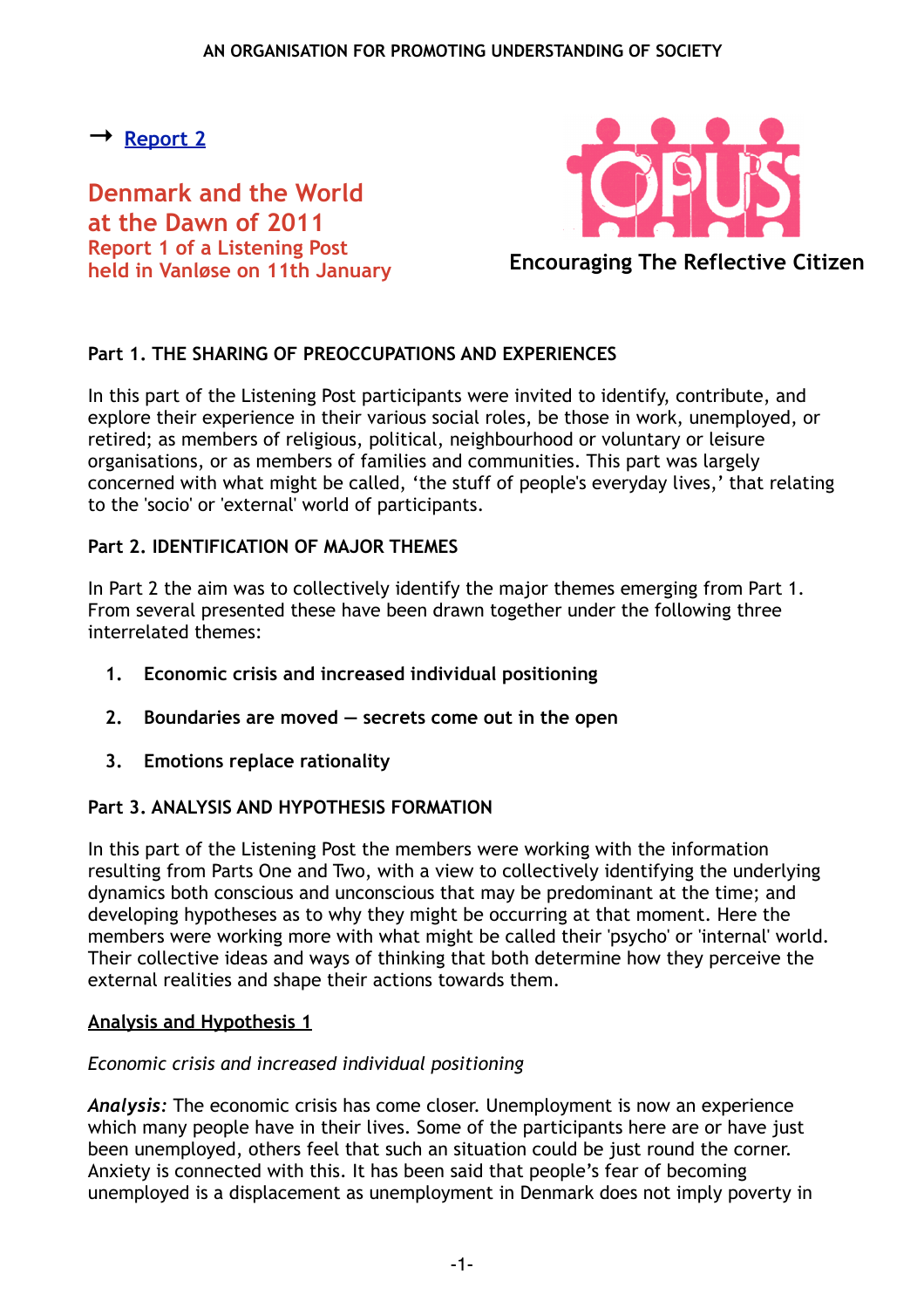# <span id="page-0-0"></span>**→ [Report 2](#page-3-0)**

**Denmark and the World at the Dawn of 2011 Report 1 of a Listening Post held in Vanløse on 11th January**



**Encouraging The Reflective Citizen**

# **Part 1. THE SHARING OF PREOCCUPATIONS AND EXPERIENCES**

In this part of the Listening Post participants were invited to identify, contribute, and explore their experience in their various social roles, be those in work, unemployed, or retired; as members of religious, political, neighbourhood or voluntary or leisure organisations, or as members of families and communities. This part was largely concerned with what might be called, 'the stuff of people's everyday lives,' that relating to the 'socio' or 'external' world of participants.

## **Part 2. IDENTIFICATION OF MAJOR THEMES**

In Part 2 the aim was to collectively identify the major themes emerging from Part 1. From several presented these have been drawn together under the following three interrelated themes:

- **1. Economic crisis and increased individual positioning**
- **2. Boundaries are moved secrets come out in the open**
- **3. Emotions replace rationality**

# **Part 3. ANALYSIS AND HYPOTHESIS FORMATION**

In this part of the Listening Post the members were working with the information resulting from Parts One and Two, with a view to collectively identifying the underlying dynamics both conscious and unconscious that may be predominant at the time; and developing hypotheses as to why they might be occurring at that moment. Here the members were working more with what might be called their 'psycho' or 'internal' world. Their collective ideas and ways of thinking that both determine how they perceive the external realities and shape their actions towards them.

### **Analysis and Hypothesis 1**

# *Economic crisis and increased individual positioning*

*Analysis:* The economic crisis has come closer. Unemployment is now an experience which many people have in their lives. Some of the participants here are or have just been unemployed, others feel that such an situation could be just round the corner. Anxiety is connected with this. It has been said that people's fear of becoming unemployed is a displacement as unemployment in Denmark does not imply poverty in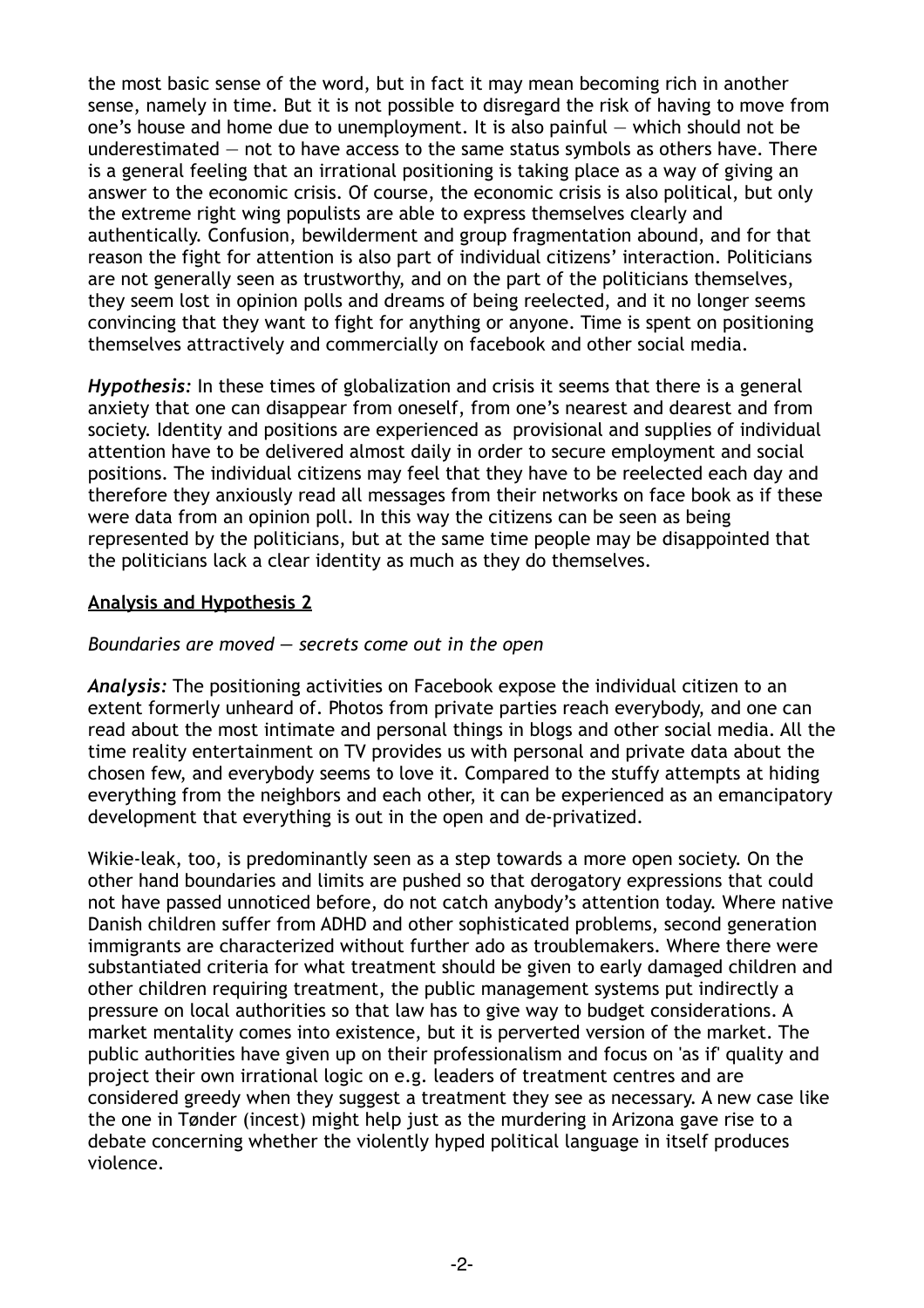the most basic sense of the word, but in fact it may mean becoming rich in another sense, namely in time. But it is not possible to disregard the risk of having to move from one's house and home due to unemployment. It is also painful — which should not be underestimated — not to have access to the same status symbols as others have. There is a general feeling that an irrational positioning is taking place as a way of giving an answer to the economic crisis. Of course, the economic crisis is also political, but only the extreme right wing populists are able to express themselves clearly and authentically. Confusion, bewilderment and group fragmentation abound, and for that reason the fight for attention is also part of individual citizens' interaction. Politicians are not generally seen as trustworthy, and on the part of the politicians themselves, they seem lost in opinion polls and dreams of being reelected, and it no longer seems convincing that they want to fight for anything or anyone. Time is spent on positioning themselves attractively and commercially on facebook and other social media.

*Hypothesis:* In these times of globalization and crisis it seems that there is a general anxiety that one can disappear from oneself, from one's nearest and dearest and from society. Identity and positions are experienced as provisional and supplies of individual attention have to be delivered almost daily in order to secure employment and social positions. The individual citizens may feel that they have to be reelected each day and therefore they anxiously read all messages from their networks on face book as if these were data from an opinion poll. In this way the citizens can be seen as being represented by the politicians, but at the same time people may be disappointed that the politicians lack a clear identity as much as they do themselves.

## **Analysis and Hypothesis 2**

#### *Boundaries are moved — secrets come out in the open*

*Analysis:* The positioning activities on Facebook expose the individual citizen to an extent formerly unheard of. Photos from private parties reach everybody, and one can read about the most intimate and personal things in blogs and other social media. All the time reality entertainment on TV provides us with personal and private data about the chosen few, and everybody seems to love it. Compared to the stuffy attempts at hiding everything from the neighbors and each other, it can be experienced as an emancipatory development that everything is out in the open and de-privatized.

Wikie-leak, too, is predominantly seen as a step towards a more open society. On the other hand boundaries and limits are pushed so that derogatory expressions that could not have passed unnoticed before, do not catch anybody's attention today. Where native Danish children suffer from ADHD and other sophisticated problems, second generation immigrants are characterized without further ado as troublemakers. Where there were substantiated criteria for what treatment should be given to early damaged children and other children requiring treatment, the public management systems put indirectly a pressure on local authorities so that law has to give way to budget considerations. A market mentality comes into existence, but it is perverted version of the market. The public authorities have given up on their professionalism and focus on 'as if' quality and project their own irrational logic on e.g. leaders of treatment centres and are considered greedy when they suggest a treatment they see as necessary. A new case like the one in Tønder (incest) might help just as the murdering in Arizona gave rise to a debate concerning whether the violently hyped political language in itself produces violence.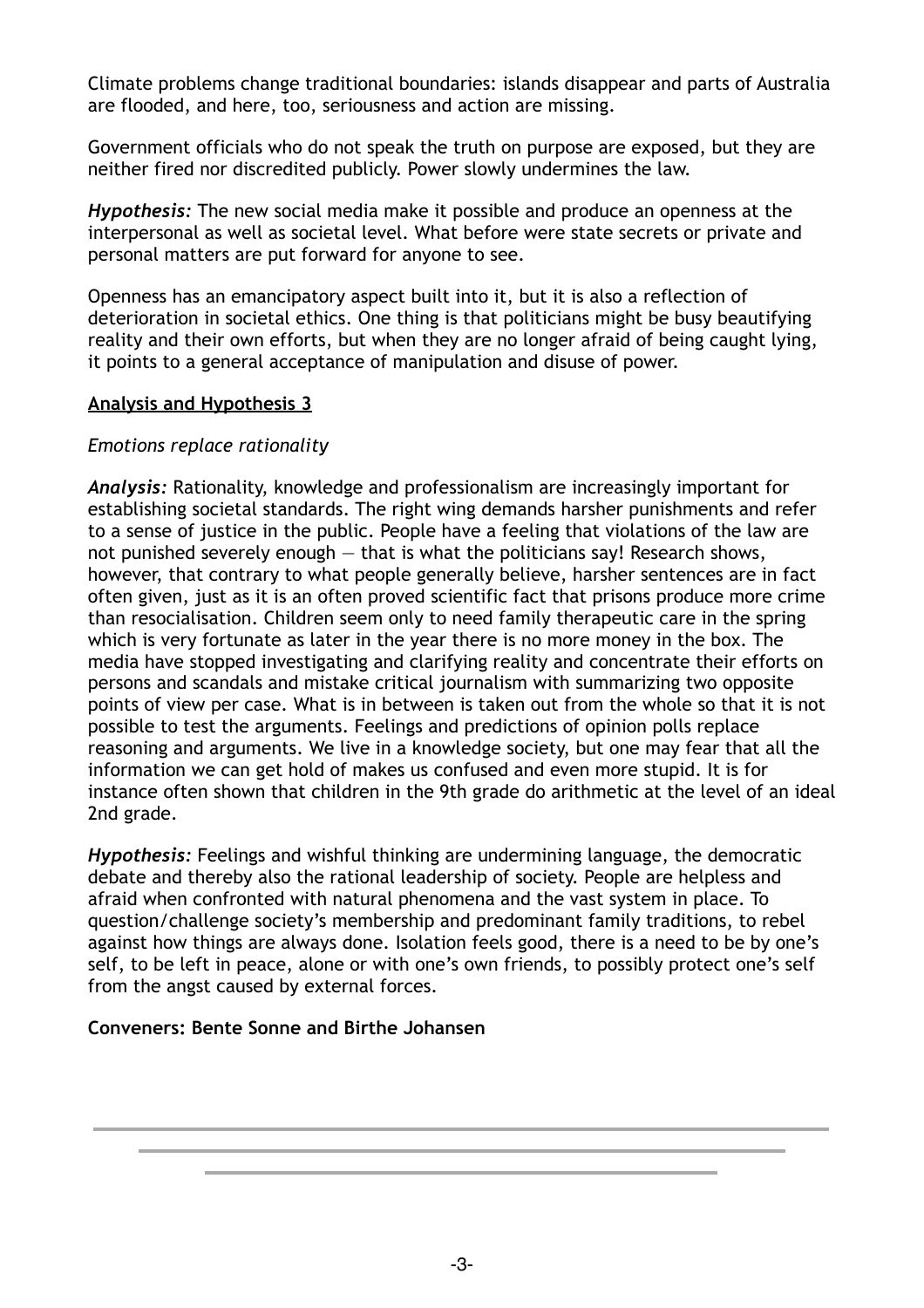Climate problems change traditional boundaries: islands disappear and parts of Australia are flooded, and here, too, seriousness and action are missing.

Government officials who do not speak the truth on purpose are exposed, but they are neither fired nor discredited publicly. Power slowly undermines the law.

*Hypothesis:* The new social media make it possible and produce an openness at the interpersonal as well as societal level. What before were state secrets or private and personal matters are put forward for anyone to see.

Openness has an emancipatory aspect built into it, but it is also a reflection of deterioration in societal ethics. One thing is that politicians might be busy beautifying reality and their own efforts, but when they are no longer afraid of being caught lying, it points to a general acceptance of manipulation and disuse of power.

## **Analysis and Hypothesis 3**

## *Emotions replace rationality*

*Analysis:* Rationality, knowledge and professionalism are increasingly important for establishing societal standards. The right wing demands harsher punishments and refer to a sense of justice in the public. People have a feeling that violations of the law are not punished severely enough  $-$  that is what the politicians say! Research shows, however, that contrary to what people generally believe, harsher sentences are in fact often given, just as it is an often proved scientific fact that prisons produce more crime than resocialisation. Children seem only to need family therapeutic care in the spring which is very fortunate as later in the year there is no more money in the box. The media have stopped investigating and clarifying reality and concentrate their efforts on persons and scandals and mistake critical journalism with summarizing two opposite points of view per case. What is in between is taken out from the whole so that it is not possible to test the arguments. Feelings and predictions of opinion polls replace reasoning and arguments. We live in a knowledge society, but one may fear that all the information we can get hold of makes us confused and even more stupid. It is for instance often shown that children in the 9th grade do arithmetic at the level of an ideal 2nd grade.

*Hypothesis:* Feelings and wishful thinking are undermining language, the democratic debate and thereby also the rational leadership of society. People are helpless and afraid when confronted with natural phenomena and the vast system in place. To question/challenge society's membership and predominant family traditions, to rebel against how things are always done. Isolation feels good, there is a need to be by one's self, to be left in peace, alone or with one's own friends, to possibly protect one's self from the angst caused by external forces.

# **Conveners: Bente Sonne and Birthe Johansen**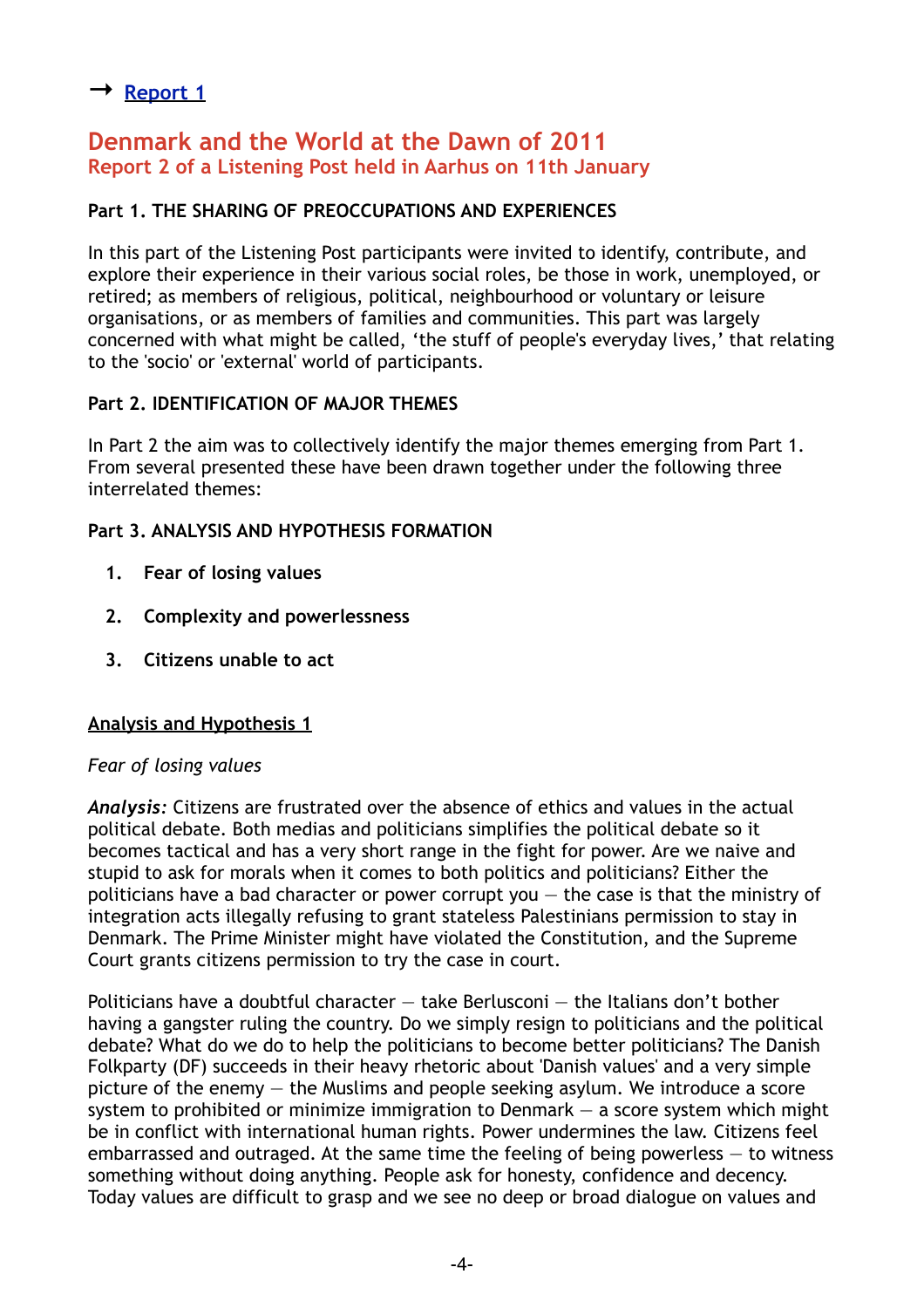# <span id="page-3-0"></span>**→ [Report 1](#page-0-0)**

# **Denmark and the World at the Dawn of 2011 Report 2 of a Listening Post held in Aarhus on 11th January**

# **Part 1. THE SHARING OF PREOCCUPATIONS AND EXPERIENCES**

In this part of the Listening Post participants were invited to identify, contribute, and explore their experience in their various social roles, be those in work, unemployed, or retired; as members of religious, political, neighbourhood or voluntary or leisure organisations, or as members of families and communities. This part was largely concerned with what might be called, 'the stuff of people's everyday lives,' that relating to the 'socio' or 'external' world of participants.

## **Part 2. IDENTIFICATION OF MAJOR THEMES**

In Part 2 the aim was to collectively identify the major themes emerging from Part 1. From several presented these have been drawn together under the following three interrelated themes:

## **Part 3. ANALYSIS AND HYPOTHESIS FORMATION**

- **1. Fear of losing values**
- **2. Complexity and powerlessness**
- **3. Citizens unable to act**

### **Analysis and Hypothesis 1**

### *Fear of losing values*

*Analysis:* Citizens are frustrated over the absence of ethics and values in the actual political debate. Both medias and politicians simplifies the political debate so it becomes tactical and has a very short range in the fight for power. Are we naive and stupid to ask for morals when it comes to both politics and politicians? Either the politicians have a bad character or power corrupt you  $-$  the case is that the ministry of integration acts illegally refusing to grant stateless Palestinians permission to stay in Denmark. The Prime Minister might have violated the Constitution, and the Supreme Court grants citizens permission to try the case in court.

Politicians have a doubtful character — take Berlusconi — the Italians don't bother having a gangster ruling the country. Do we simply resign to politicians and the political debate? What do we do to help the politicians to become better politicians? The Danish Folkparty (DF) succeeds in their heavy rhetoric about 'Danish values' and a very simple picture of the enemy — the Muslims and people seeking asylum. We introduce a score system to prohibited or minimize immigration to Denmark  $-$  a score system which might be in conflict with international human rights. Power undermines the law. Citizens feel embarrassed and outraged. At the same time the feeling of being powerless  $-$  to witness something without doing anything. People ask for honesty, confidence and decency. Today values are difficult to grasp and we see no deep or broad dialogue on values and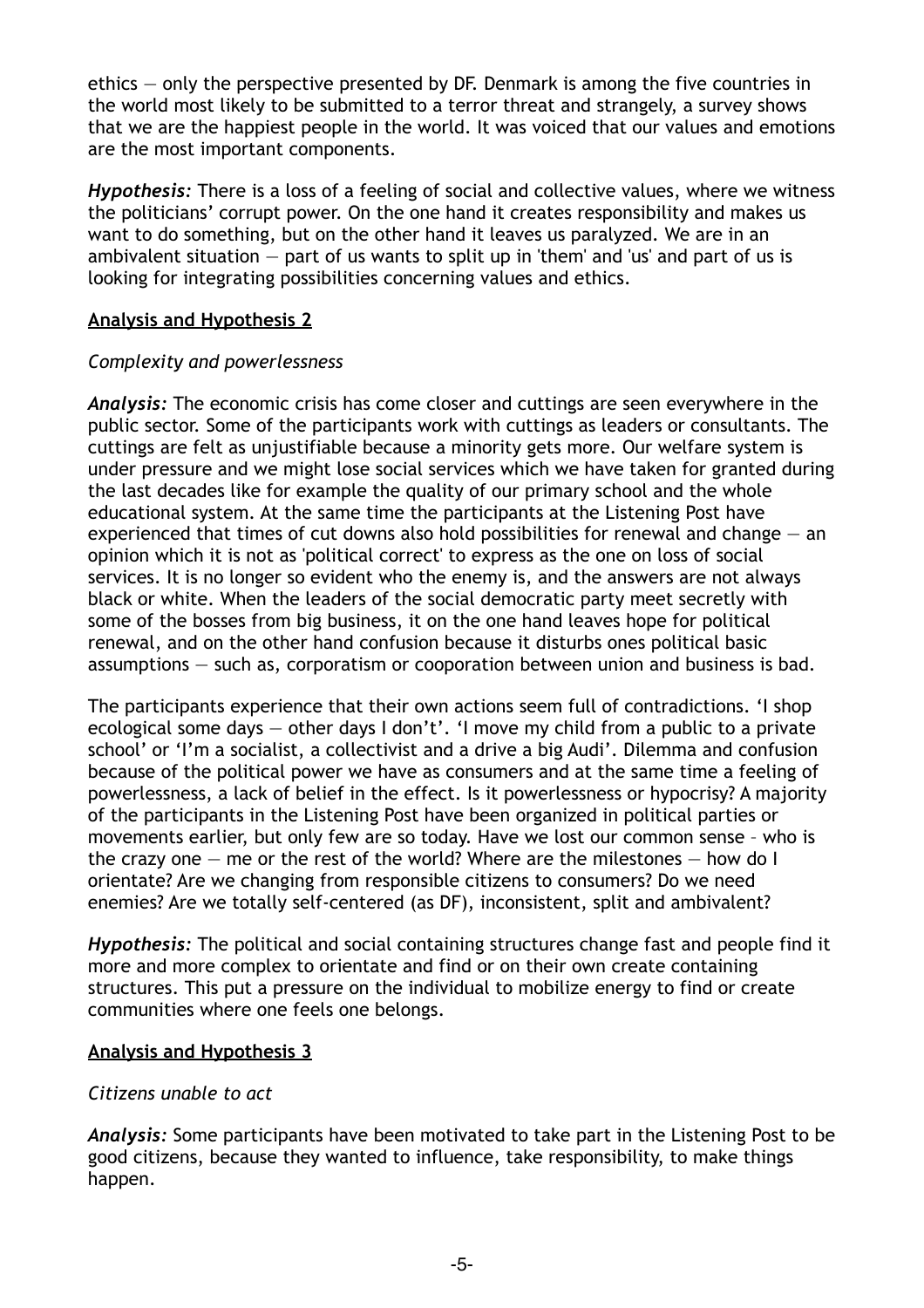ethics — only the perspective presented by DF. Denmark is among the five countries in the world most likely to be submitted to a terror threat and strangely, a survey shows that we are the happiest people in the world. It was voiced that our values and emotions are the most important components.

*Hypothesis:* There is a loss of a feeling of social and collective values, where we witness the politicians' corrupt power. On the one hand it creates responsibility and makes us want to do something, but on the other hand it leaves us paralyzed. We are in an ambivalent situation — part of us wants to split up in 'them' and 'us' and part of us is looking for integrating possibilities concerning values and ethics.

## **Analysis and Hypothesis 2**

## *Complexity and powerlessness*

*Analysis:* The economic crisis has come closer and cuttings are seen everywhere in the public sector. Some of the participants work with cuttings as leaders or consultants. The cuttings are felt as unjustifiable because a minority gets more. Our welfare system is under pressure and we might lose social services which we have taken for granted during the last decades like for example the quality of our primary school and the whole educational system. At the same time the participants at the Listening Post have experienced that times of cut downs also hold possibilities for renewal and change  $-$  an opinion which it is not as 'political correct' to express as the one on loss of social services. It is no longer so evident who the enemy is, and the answers are not always black or white. When the leaders of the social democratic party meet secretly with some of the bosses from big business, it on the one hand leaves hope for political renewal, and on the other hand confusion because it disturbs ones political basic assumptions — such as, corporatism or cooporation between union and business is bad.

The participants experience that their own actions seem full of contradictions. 'I shop ecological some days — other days I don't'. 'I move my child from a public to a private school' or 'I'm a socialist, a collectivist and a drive a big Audi'. Dilemma and confusion because of the political power we have as consumers and at the same time a feeling of powerlessness, a lack of belief in the effect. Is it powerlessness or hypocrisy? A majority of the participants in the Listening Post have been organized in political parties or movements earlier, but only few are so today. Have we lost our common sense – who is the crazy one  $-$  me or the rest of the world? Where are the milestones  $-$  how do I orientate? Are we changing from responsible citizens to consumers? Do we need enemies? Are we totally self-centered (as DF), inconsistent, split and ambivalent?

*Hypothesis:* The political and social containing structures change fast and people find it more and more complex to orientate and find or on their own create containing structures. This put a pressure on the individual to mobilize energy to find or create communities where one feels one belongs.

### **Analysis and Hypothesis 3**

# *Citizens unable to act*

*Analysis:* Some participants have been motivated to take part in the Listening Post to be good citizens, because they wanted to influence, take responsibility, to make things happen.